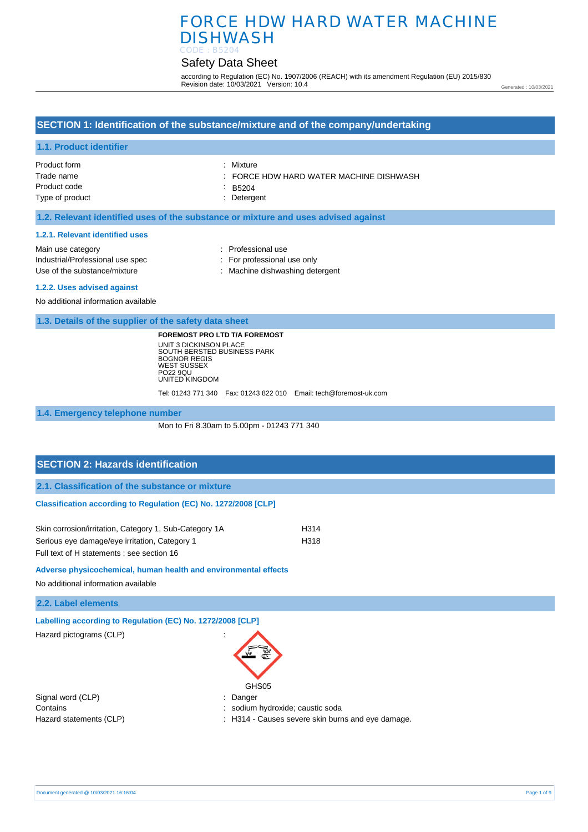# Safety Data Sheet

according to Regulation (EC) No. 1907/2006 (REACH) with its amendment Regulation (EU) 2015/830 Revision date: 10/03/2021 Version: 10.4

Generated : 10/03/2021

## **SECTION 1: Identification of the substance/mixture and of the company/undertaking**

## **1.1. Product identifier**

| Product form    | : Mixture                                          |
|-----------------|----------------------------------------------------|
| Trade name      | $\therefore$ FORCE HDW HARD WATER MACHINE DISHWASH |
| Product code    | $-B5204$                                           |
| Type of product | : Detergent                                        |
|                 |                                                    |

## **1.2. Relevant identified uses of the substance or mixture and uses advised against**

#### **1.2.1. Relevant identified uses**

| Main use category                                                | : Professional use                                             |
|------------------------------------------------------------------|----------------------------------------------------------------|
| Industrial/Professional use spec<br>Use of the substance/mixture | : For professional use only<br>: Machine dishwashing detergent |
| 1.2.2. Uses advised against                                      |                                                                |

No additional information available

**1.3. Details of the supplier of the safety data sheet**

**FOREMOST PRO LTD T/A FOREMOST** UNIT 3 DICKINSON PLACE SOUTH BERSTED BUSINESS PARK BOGNOR REGIS WEST SUSSEX PO22 9QU UNITED KINGDOM

Tel: 01243 771 340 Fax: 01243 822 010 Email: tech@foremost-uk.com

**1.4. Emergency telephone number**

Mon to Fri 8.30am to 5.00pm - 01243 771 340

# **SECTION 2: Hazards identification 2.1. Classification of the substance or mixture Classification according to Regulation (EC) No. 1272/2008 [CLP]** Skin corrosion/irritation, Category 1, Sub-Category 1A H314 Serious eye damage/eye irritation, Category 1 H318 Full text of H statements : see section 16

**Adverse physicochemical, human health and environmental effects** 

No additional information available

**2.2. Label elements**

**Labelling according to Regulation (EC) No. 1272/2008 [CLP]** 

Hazard pictograms (CLP) :

| GHS05 |  |
|-------|--|

Signal word (CLP) **in the set of the CLP** of the Signal word (CLP) **in the Signal word (CLP**) Contains **Contains Contains Contains Contains Contains Contains Contains Contains Contains Contains Contains Contains Contains Contains Contains Contains Contains Contains Contains Con** 

- 
- Hazard statements (CLP)  $\qquad \qquad$ : H314 Causes severe skin burns and eye damage.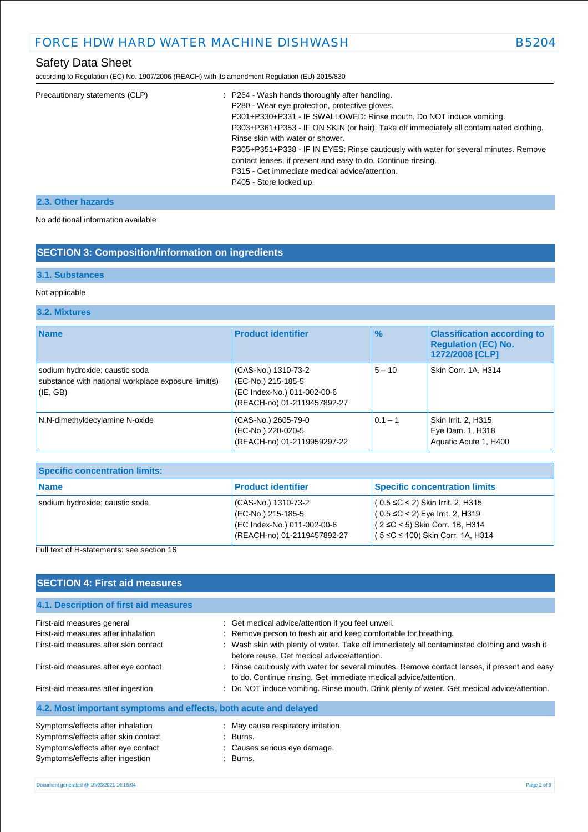# Safety Data Sheet

according to Regulation (EC) No. 1907/2006 (REACH) with its amendment Regulation (EU) 2015/830

| Precautionary statements (CLP) | : P264 - Wash hands thoroughly after handling.                                         |
|--------------------------------|----------------------------------------------------------------------------------------|
|                                | P280 - Wear eye protection, protective gloves.                                         |
|                                | P301+P330+P331 - IF SWALLOWED: Rinse mouth. Do NOT induce vomiting.                    |
|                                | P303+P361+P353 - IF ON SKIN (or hair): Take off immediately all contaminated clothing. |
|                                | Rinse skin with water or shower.                                                       |
|                                | P305+P351+P338 - IF IN EYES: Rinse cautiously with water for several minutes. Remove   |
|                                | contact lenses, if present and easy to do. Continue rinsing.                           |
|                                | P315 - Get immediate medical advice/attention.                                         |
|                                | P405 - Store locked up.                                                                |
|                                |                                                                                        |

## **2.3. Other hazards**

No additional information available

# **SECTION 3: Composition/information on ingredients**

## **3.1. Substances**

## Not applicable

## **3.2. Mixtures**

| <b>Name</b>                                                                                           | <b>Product identifier</b>                                                                               | $\frac{9}{6}$ | <b>Classification according to</b><br><b>Regulation (EC) No.</b><br>1272/2008 [CLP] |
|-------------------------------------------------------------------------------------------------------|---------------------------------------------------------------------------------------------------------|---------------|-------------------------------------------------------------------------------------|
| sodium hydroxide; caustic soda<br>substance with national workplace exposure limit(s)<br>$ $ (IE, GB) | (CAS-No.) 1310-73-2<br>(EC-No.) 215-185-5<br>(EC Index-No.) 011-002-00-6<br>(REACH-no) 01-2119457892-27 | $5 - 10$      | Skin Corr. 1A, H314                                                                 |
| N,N-dimethyldecylamine N-oxide                                                                        | (CAS-No.) 2605-79-0<br>(EC-No.) 220-020-5<br>(REACH-no) 01-2119959297-22                                | $0.1 - 1$     | Skin Irrit. 2, H315<br>Eye Dam. 1, H318<br>Aquatic Acute 1, H400                    |

| <b>Specific concentration limits:</b> |                                                                                                         |                                                                                                                                                       |
|---------------------------------------|---------------------------------------------------------------------------------------------------------|-------------------------------------------------------------------------------------------------------------------------------------------------------|
| <b>Name</b>                           | <b>Product identifier</b>                                                                               | <b>Specific concentration limits</b>                                                                                                                  |
| sodium hydroxide; caustic soda        | (CAS-No.) 1310-73-2<br>(EC-No.) 215-185-5<br>(EC Index-No.) 011-002-00-6<br>(REACH-no) 01-2119457892-27 | $(0.5 ≤ C < 2)$ Skin Irrit. 2, H315<br>$(0.5 ≤ C < 2)$ Eye Irrit. 2, H319<br>$(2 ≤ C < 5)$ Skin Corr. 1B, H314<br>$(5 ≤ C ≤ 100)$ Skin Corr. 1A, H314 |

Full text of H-statements: see section 16

# **SECTION 4: First aid measures**

| 4.1. Description of first aid measures                           |                                                                                                                                                                   |
|------------------------------------------------------------------|-------------------------------------------------------------------------------------------------------------------------------------------------------------------|
| First-aid measures general                                       | : Get medical advice/attention if you feel unwell.                                                                                                                |
| First-aid measures after inhalation                              | : Remove person to fresh air and keep comfortable for breathing.                                                                                                  |
| First-aid measures after skin contact                            | : Wash skin with plenty of water. Take off immediately all contaminated clothing and wash it<br>before reuse. Get medical advice/attention.                       |
| First-aid measures after eye contact                             | : Rinse cautiously with water for several minutes. Remove contact lenses, if present and easy<br>to do. Continue rinsing. Get immediate medical advice/attention. |
| First-aid measures after ingestion                               | : Do NOT induce vomiting. Rinse mouth. Drink plenty of water. Get medical advice/attention.                                                                       |
| 4.2. Most important symptoms and effects, both acute and delayed |                                                                                                                                                                   |
| Symptoms/effects after inhalation                                | : May cause respiratory irritation.                                                                                                                               |
| Symptoms/effects after skin contact                              | : Burns.                                                                                                                                                          |
| Symptoms/effects after eye contact                               | : Causes serious eye damage.                                                                                                                                      |
| Symptoms/effects after ingestion                                 | : Burns.                                                                                                                                                          |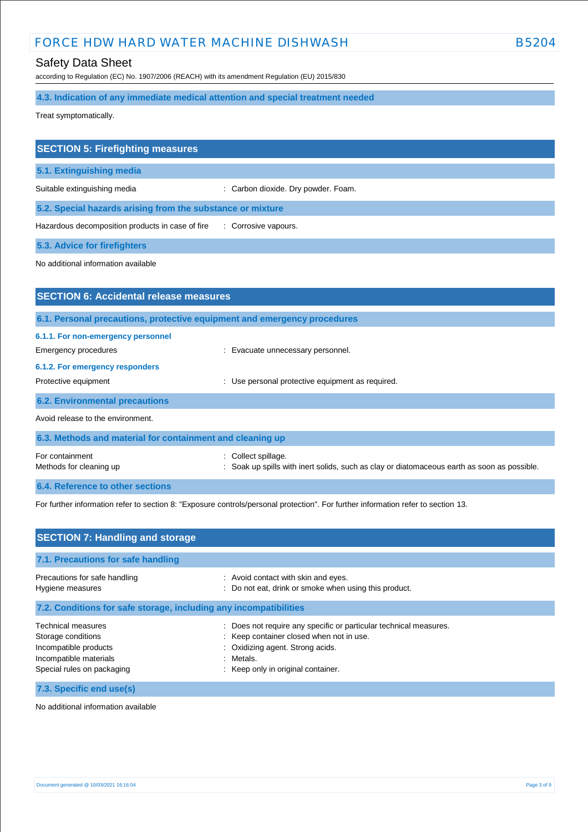## Safety Data Sheet

according to Regulation (EC) No. 1907/2006 (REACH) with its amendment Regulation (EU) 2015/830

# **4.3. Indication of any immediate medical attention and special treatment needed**

Treat symptomatically.

| <b>SECTION 5: Firefighting measures</b>                                  |                                     |  |
|--------------------------------------------------------------------------|-------------------------------------|--|
| 5.1. Extinguishing media                                                 |                                     |  |
| Suitable extinguishing media                                             | : Carbon dioxide. Dry powder. Foam. |  |
| 5.2. Special hazards arising from the substance or mixture               |                                     |  |
| Hazardous decomposition products in case of fire<br>: Corrosive vapours. |                                     |  |
| <b>5.3. Advice for firefighters</b>                                      |                                     |  |

No additional information available

| <b>SECTION 6: Accidental release measures</b>                                                                         |                                                                                                                |  |  |
|-----------------------------------------------------------------------------------------------------------------------|----------------------------------------------------------------------------------------------------------------|--|--|
| 6.1. Personal precautions, protective equipment and emergency procedures                                              |                                                                                                                |  |  |
| 6.1.1. For non-emergency personnel<br>Emergency procedures<br>6.1.2. For emergency responders<br>Protective equipment | Evacuate unnecessary personnel.<br>: Use personal protective equipment as required.                            |  |  |
| <b>6.2. Environmental precautions</b>                                                                                 |                                                                                                                |  |  |
| Avoid release to the environment.                                                                                     |                                                                                                                |  |  |
| 6.3. Methods and material for containment and cleaning up                                                             |                                                                                                                |  |  |
| For containment<br>Methods for cleaning up                                                                            | Collect spillage.<br>Soak up spills with inert solids, such as clay or diatomaceous earth as soon as possible. |  |  |
| 6.4. Reference to other sections                                                                                      |                                                                                                                |  |  |

For further information refer to section 8: "Exposure controls/personal protection". For further information refer to section 13.

| <b>SECTION 7: Handling and storage</b>                                                                                           |                                                                                                                                                                                                      |  |
|----------------------------------------------------------------------------------------------------------------------------------|------------------------------------------------------------------------------------------------------------------------------------------------------------------------------------------------------|--|
| 7.1. Precautions for safe handling                                                                                               |                                                                                                                                                                                                      |  |
| Precautions for safe handling<br>Hygiene measures                                                                                | : Avoid contact with skin and eyes.<br>: Do not eat, drink or smoke when using this product.                                                                                                         |  |
| 7.2. Conditions for safe storage, including any incompatibilities                                                                |                                                                                                                                                                                                      |  |
| <b>Technical measures</b><br>Storage conditions<br>Incompatible products<br>Incompatible materials<br>Special rules on packaging | : Does not require any specific or particular technical measures.<br>: Keep container closed when not in use.<br>: Oxidizing agent. Strong acids.<br>: Metals.<br>: Keep only in original container. |  |
| 7.3. Specific end use(s)                                                                                                         |                                                                                                                                                                                                      |  |

No additional information available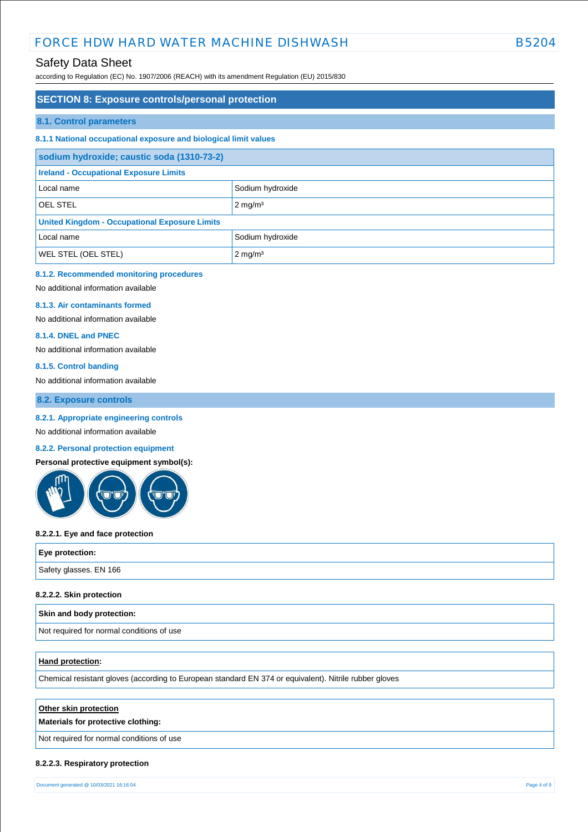## Safety Data Sheet

according to Regulation (EC) No. 1907/2006 (REACH) with its amendment Regulation (EU) 2015/830

# **SECTION 8: Exposure controls/personal protection 8.1. Control parameters 8.1.1 National occupational exposure and biological limit values sodium hydroxide; caustic soda (1310-73-2) Ireland - Occupational Exposure Limits** Local name Sodium hydroxide OEL STEL 2 mg/m<sup>3</sup> **United Kingdom - Occupational Exposure Limits** Local name Sodium hydroxide WEL STEL (OEL STEL) 2 mg/m<sup>3</sup>

### **8.1.2. Recommended monitoring procedures**

No additional information available

#### **8.1.3. Air contaminants formed**

No additional information available

#### **8.1.4. DNEL and PNEC**

No additional information available

#### **8.1.5. Control banding**

No additional information available

**8.2. Exposure controls**

#### **8.2.1. Appropriate engineering controls**

No additional information available

## **8.2.2. Personal protection equipment**

**Personal protective equipment symbol(s):**



#### **8.2.2.1. Eye and face protection**

| Eye protection:        |  |
|------------------------|--|
| Safety glasses. EN 166 |  |
|                        |  |

#### **8.2.2.2. Skin protection**

#### **Skin and body protection:**

Not required for normal conditions of use

### **Hand protection:**

Chemical resistant gloves (according to European standard EN 374 or equivalent). Nitrile rubber gloves

#### **Other skin protection**

#### **Materials for protective clothing:**

Not required for normal conditions of use

#### **8.2.2.3. Respiratory protection**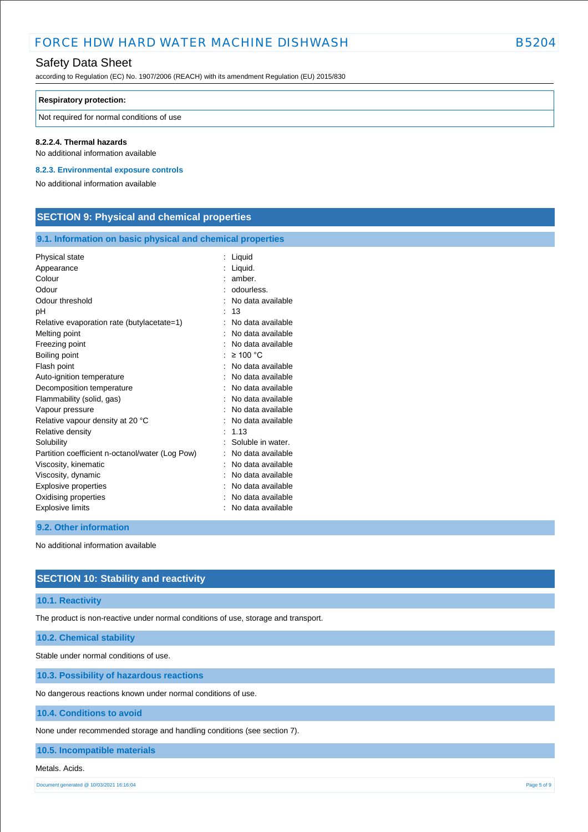## Safety Data Sheet

according to Regulation (EC) No. 1907/2006 (REACH) with its amendment Regulation (EU) 2015/830

#### **Respiratory protection:**

Not required for normal conditions of use

### **8.2.2.4. Thermal hazards**

No additional information available

### **8.2.3. Environmental exposure controls**

No additional information available

# **SECTION 9: Physical and chemical properties**

## **9.1. Information on basic physical and chemical properties**

| : Liquid            |
|---------------------|
| Liquid.             |
| amber.              |
| : odourless.        |
| No data available   |
| 13                  |
| No data available   |
| No data available   |
| No data available   |
| $\geq 100$ °C       |
| No data available   |
| No data available   |
| No data available   |
| No data available   |
| No data available   |
| No data available   |
| 1.13                |
| Soluble in water.   |
| No data available   |
| No data available   |
| No data available   |
| No data available   |
| No data available   |
| : No data available |
|                     |

#### **9.2. Other information**

No additional information available

## **SECTION 10: Stability and reactivity**

#### **10.1. Reactivity**

The product is non-reactive under normal conditions of use, storage and transport.

## **10.2. Chemical stability**

Stable under normal conditions of use.

**10.3. Possibility of hazardous reactions**

No dangerous reactions known under normal conditions of use.

#### **10.4. Conditions to avoid**

None under recommended storage and handling conditions (see section 7).

## **10.5. Incompatible materials**

#### Metals. Acids.

Document generated @ 10/03/2021 16:16:04 Page 5 of 9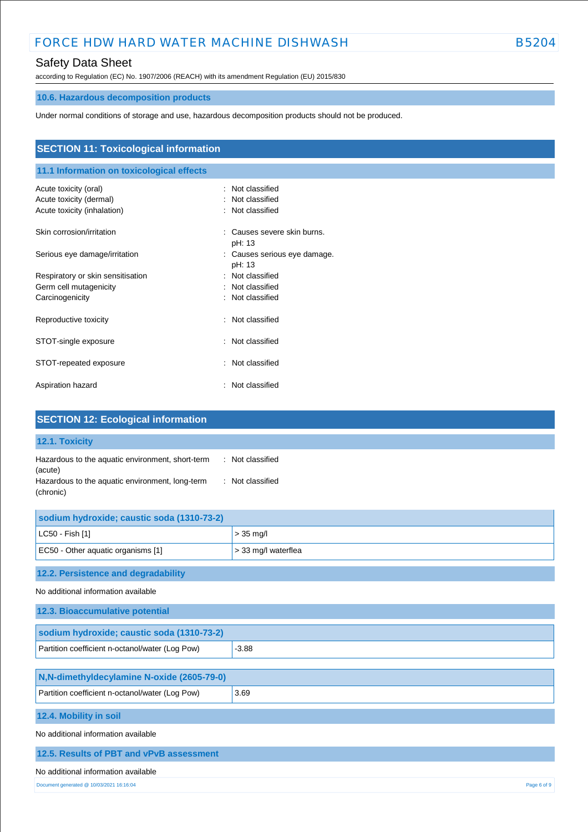# Safety Data Sheet

according to Regulation (EC) No. 1907/2006 (REACH) with its amendment Regulation (EU) 2015/830

# **10.6. Hazardous decomposition products**

Under normal conditions of storage and use, hazardous decomposition products should not be produced.

| <b>SECTION 11: Toxicological information</b> |                                          |  |  |
|----------------------------------------------|------------------------------------------|--|--|
| 11.1 Information on toxicological effects    |                                          |  |  |
| Acute toxicity (oral)                        | Not classified<br>÷                      |  |  |
| Acute toxicity (dermal)                      | Not classified                           |  |  |
| Acute toxicity (inhalation)                  | : Not classified                         |  |  |
| Skin corrosion/irritation                    | Causes severe skin burns.<br>÷<br>pH: 13 |  |  |
| Serious eye damage/irritation                | : Causes serious eye damage.<br>pH: 13   |  |  |
| Respiratory or skin sensitisation            | : Not classified                         |  |  |
| Germ cell mutagenicity                       | : Not classified                         |  |  |
| Carcinogenicity                              | : Not classified                         |  |  |
| Reproductive toxicity                        | Not classified<br>÷                      |  |  |
| STOT-single exposure                         | : Not classified                         |  |  |
| STOT-repeated exposure                       | Not classified<br>÷                      |  |  |
| Aspiration hazard                            | : Not classified                         |  |  |

| <b>SECTION 12: Ecological information</b>                                                                                   |                                      |  |
|-----------------------------------------------------------------------------------------------------------------------------|--------------------------------------|--|
| 12.1. Toxicity                                                                                                              |                                      |  |
| Hazardous to the aquatic environment, short-term<br>(acute)<br>Hazardous to the aquatic environment, long-term<br>(chronic) | : Not classified<br>: Not classified |  |
| sodium hydroxide; caustic soda (1310-73-2)                                                                                  |                                      |  |
| LC50 - Fish [1]                                                                                                             | $> 35$ mg/l                          |  |
| EC50 - Other aquatic organisms [1]                                                                                          | > 33 mg/l waterflea                  |  |
| 12.2. Persistence and degradability                                                                                         |                                      |  |
| No additional information available                                                                                         |                                      |  |
| 12.3. Bioaccumulative potential                                                                                             |                                      |  |
| sodium hydroxide; caustic soda (1310-73-2)                                                                                  |                                      |  |
| Partition coefficient n-octanol/water (Log Pow)                                                                             | $-3.88$                              |  |
| N,N-dimethyldecylamine N-oxide (2605-79-0)                                                                                  |                                      |  |
| Partition coefficient n-octanol/water (Log Pow)                                                                             | 3.69                                 |  |
| 12.4. Mobility in soil                                                                                                      |                                      |  |
| No additional information available                                                                                         |                                      |  |
| 12.5. Results of PBT and vPvB assessment                                                                                    |                                      |  |
| No additional information available                                                                                         |                                      |  |
| Document generated @ 10/03/2021 16:16:04                                                                                    | Page 6 of 9                          |  |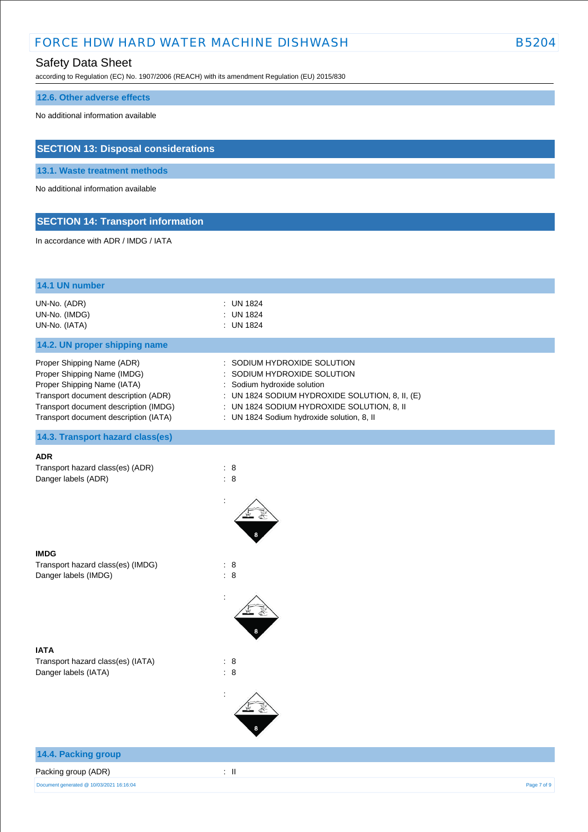## Safety Data Sheet

according to Regulation (EC) No. 1907/2006 (REACH) with its amendment Regulation (EU) 2015/830

# **12.6. Other adverse effects**

No additional information available

# **SECTION 13: Disposal considerations**

**13.1. Waste treatment methods**

No additional information available

# **SECTION 14: Transport information**

In accordance with ADR / IMDG / IATA

| 14.1 UN number                                                                                                                                                                                                     |                                                                                                                                                                                                                                      |             |
|--------------------------------------------------------------------------------------------------------------------------------------------------------------------------------------------------------------------|--------------------------------------------------------------------------------------------------------------------------------------------------------------------------------------------------------------------------------------|-------------|
| UN-No. (ADR)<br>UN-No. (IMDG)<br>UN-No. (IATA)                                                                                                                                                                     | : UN 1824<br><b>UN 1824</b><br>: UN 1824                                                                                                                                                                                             |             |
| 14.2. UN proper shipping name                                                                                                                                                                                      |                                                                                                                                                                                                                                      |             |
| Proper Shipping Name (ADR)<br>Proper Shipping Name (IMDG)<br>Proper Shipping Name (IATA)<br>Transport document description (ADR)<br>Transport document description (IMDG)<br>Transport document description (IATA) | SODIUM HYDROXIDE SOLUTION<br>SODIUM HYDROXIDE SOLUTION<br>: Sodium hydroxide solution<br>: UN 1824 SODIUM HYDROXIDE SOLUTION, 8, II, (E)<br>: UN 1824 SODIUM HYDROXIDE SOLUTION, 8, II<br>: UN 1824 Sodium hydroxide solution, 8, II |             |
| 14.3. Transport hazard class(es)                                                                                                                                                                                   |                                                                                                                                                                                                                                      |             |
| <b>ADR</b><br>Transport hazard class(es) (ADR)<br>Danger labels (ADR)                                                                                                                                              | $\therefore$ 8<br>$\therefore$ 8                                                                                                                                                                                                     |             |
|                                                                                                                                                                                                                    |                                                                                                                                                                                                                                      |             |
| <b>IMDG</b><br>Transport hazard class(es) (IMDG)<br>Danger labels (IMDG)                                                                                                                                           | : 8<br>$\therefore$ 8                                                                                                                                                                                                                |             |
|                                                                                                                                                                                                                    |                                                                                                                                                                                                                                      |             |
|                                                                                                                                                                                                                    |                                                                                                                                                                                                                                      |             |
| <b>IATA</b><br>Transport hazard class(es) (IATA)<br>Danger labels (IATA)                                                                                                                                           | $\therefore$ 8<br>: 8                                                                                                                                                                                                                |             |
|                                                                                                                                                                                                                    |                                                                                                                                                                                                                                      |             |
| 14.4. Packing group                                                                                                                                                                                                |                                                                                                                                                                                                                                      |             |
| Packing group (ADR)                                                                                                                                                                                                | $\lesssim 11$                                                                                                                                                                                                                        |             |
| Document generated @ 10/03/2021 16:16:04                                                                                                                                                                           |                                                                                                                                                                                                                                      | Page 7 of 9 |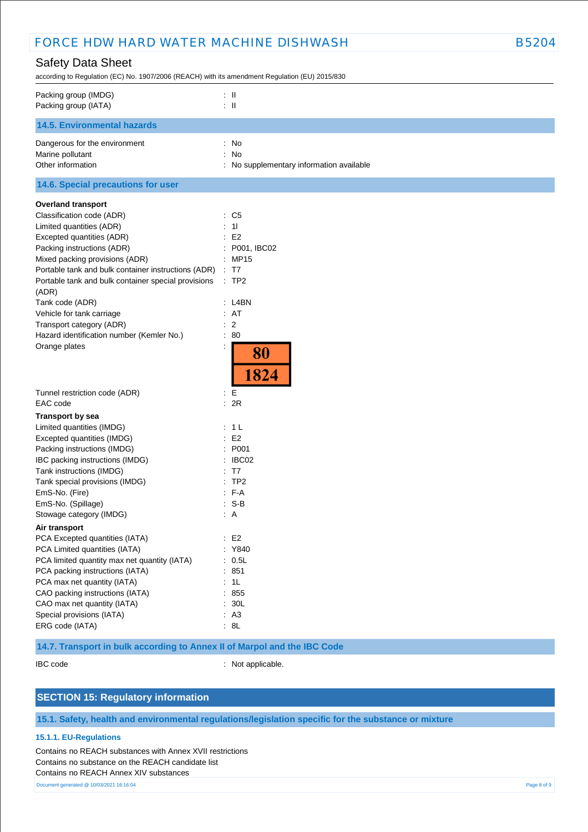# Safety Data Sheet

according to Regulation (EC) No. 1907/2006 (REACH) with its amendment Regulation (EU) 2015/830

| Packing group (IMDG)<br>Packing group (IATA)                  | ÷Ш<br>$\mathbb{I}$ |  |
|---------------------------------------------------------------|--------------------|--|
| <b>14.5. Environmental hazards</b>                            |                    |  |
| Dangerous for the environment<br>Marine pollutant             | : No<br>: No       |  |
| Other information<br>: No supplementary information available |                    |  |
| 14.6. Special precautions for user                            |                    |  |
| <b>Overland transport</b>                                     |                    |  |
| Classification code (ADR)                                     | $\therefore$ C5    |  |
| Limited quantities (ADR)                                      | : 11               |  |
| Excepted quantities (ADR)                                     | $\therefore$ E2    |  |
| Packing instructions (ADR)                                    | : P001, IBC02      |  |
| Mixed packing provisions (ADR)                                | : MP15             |  |

| Portable tank and bulk container instructions (ADR) |                | T7                |
|-----------------------------------------------------|----------------|-------------------|
| Portable tank and bulk container special provisions | ÷              | TP <sub>2</sub>   |
| (ADR)                                               |                |                   |
| Tank code (ADR)                                     | $\ddot{\cdot}$ | L <sub>4</sub> BN |
| Vehicle for tank carriage                           |                | AT                |
| Transport category (ADR)                            |                | $\overline{2}$    |
| Hazard identification number (Kemler No.)           |                | 80                |
| Orange plates                                       |                |                   |
|                                                     |                | 80                |
|                                                     |                | 182               |
|                                                     |                |                   |
| Tunnel restriction code (ADR)                       |                | E                 |
| EAC code                                            |                | 2R                |
| <b>Transport by sea</b>                             |                |                   |
| Limited quantities (IMDG)                           | $\ddot{\cdot}$ | 1 <sub>L</sub>    |
| Excepted quantities (IMDG)                          |                | E2                |
| Packing instructions (IMDG)                         |                | P001              |
| IBC packing instructions (IMDG)                     |                | IBC02             |
| Tank instructions (IMDG)                            |                | T <sub>7</sub>    |
| Tank special provisions (IMDG)                      |                | TP <sub>2</sub>   |
| EmS-No. (Fire)                                      |                | F-A               |
| EmS-No. (Spillage)                                  |                | $S-B$             |
| Stowage category (IMDG)                             |                | A                 |
| Air transport                                       |                |                   |
| PCA Excepted quantities (IATA)                      |                | E <sub>2</sub>    |
| PCA Limited quantities (IATA)                       |                | Y840              |
| PCA limited quantity max net quantity (IATA)        |                | 0.5L              |
| PCA packing instructions (IATA)                     |                | 851               |
| PCA max net quantity (IATA)                         |                | 1L                |
| CAO packing instructions (IATA)                     |                | 855               |
| CAO max net quantity (IATA)                         |                | 30L               |
| Special provisions (IATA)                           |                | A3                |
| ERG code (IATA)                                     |                | 8L                |

# **14.7. Transport in bulk according to Annex II of Marpol and the IBC Code**

IBC code : Not applicable.

## **SECTION 15: Regulatory information**

**15.1. Safety, health and environmental regulations/legislation specific for the substance or mixture**

### **15.1.1. EU-Regulations**

Contains no REACH substances with Annex XVII restrictions Contains no substance on the REACH candidate list Contains no REACH Annex XIV substances